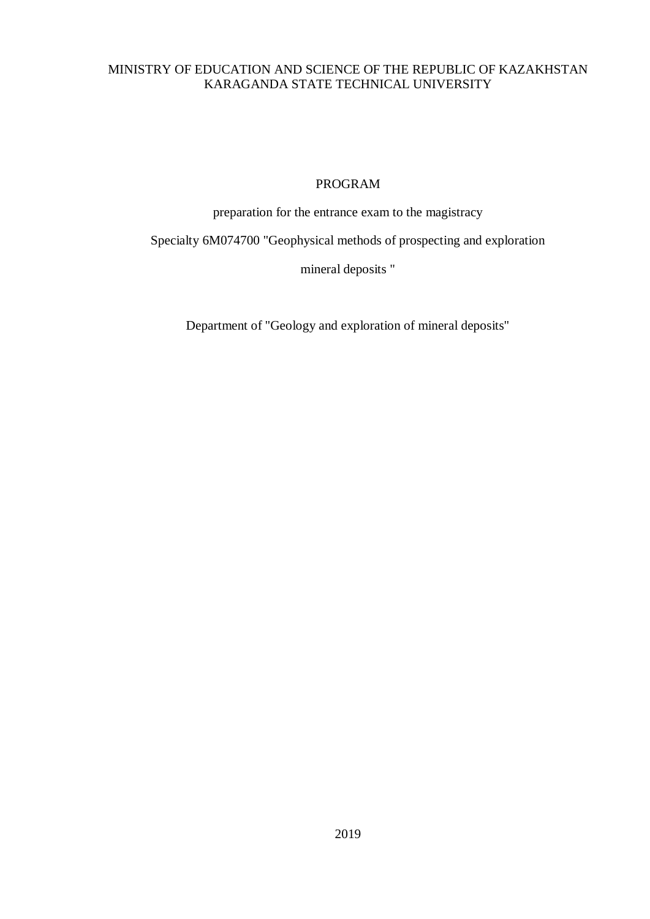## MINISTRY OF EDUCATION AND SCIENCE OF THE REPUBLIC OF KAZAKHSTAN KARAGANDA STATE TECHNICAL UNIVERSITY

### PROGRAM

preparation for the entrance exam to the magistracy

Specialty 6M074700 "Geophysical methods of prospecting and exploration

mineral deposits "

Department of "Geology and exploration of mineral deposits"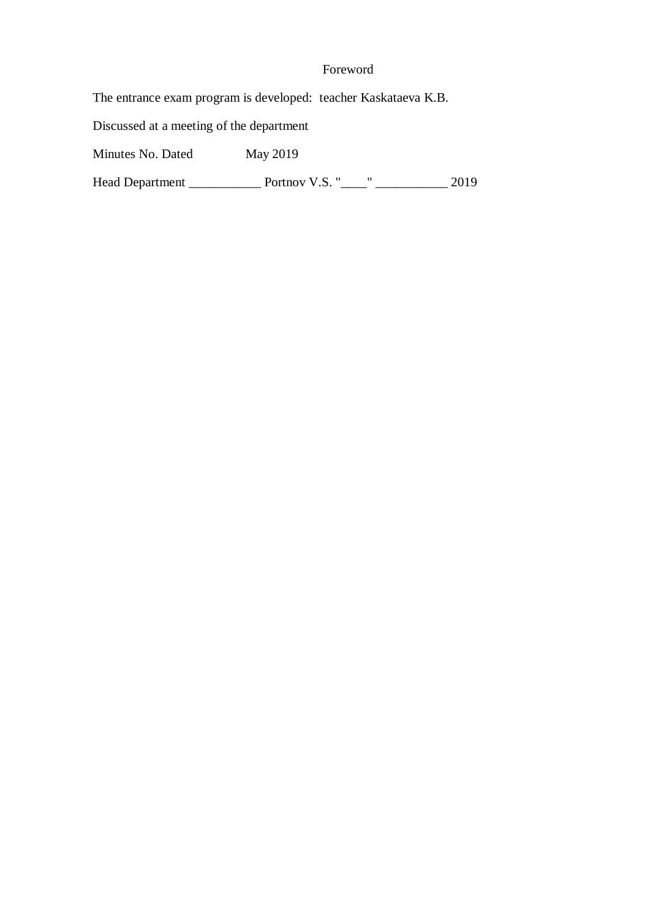# Foreword

The entrance exam program is developed: teacher Kaskataeva K.B.

Discussed at a meeting of the department

Minutes No. Dated May 2019

Head Department \_\_\_\_\_\_\_\_\_\_\_ Portnov V.S. "\_\_\_\_" \_\_\_\_\_\_\_\_\_\_\_ 2019